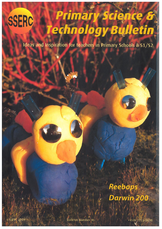# Primary Science & SSERC echnology Bulletin

Ideas and Inspiration for teachers in Primary Schools & S1/S2

# Reebops Darwin 200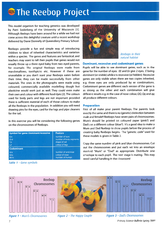# **SSERC The Reebop Project**

This model organism for teaching genetics was developed by Patti Soderberg of the University of Wisconsin [1]. Although Reebops have been around for <sup>a</sup> while we had not come across this delightful creature until <sup>a</sup> recent workshop delivered by Diane Donnelly of Queensferry Primary School.

Reebops provide <sup>a</sup> fun and simple way of introducing children to ideas of inherited characteristics and variation within <sup>a</sup> species. The genes and features are fantastical, and teachers may want to tell their pupils that genes would not usually throw up <sup>a</sup> three eye<sup>d</sup> baby from two eye<sup>d</sup> parents, for example. The original Reebops were made from marshmallows, toothpicks etc. However if these are unavailable or you don't want your Reebops eaten before their time, they can be made successfully from other materials. The ones in the photographs were made using coloured, commercially available modelling dough but <sup>p</sup>lasticine would work just as well. They could even make their own and colour with different food dyes [2]. The colours used for body parts and legs are not important provided there is sufficient material of each of those colours to make all the Reebops in the population. In addition you will need drawing <sup>p</sup>ins for the eyes, card for the legs and <sup>p</sup>ipe cleaners for the tail.

In this exercise you will be considering the following genes on the chromosomes of Reebops.

| <b>Symbol for gene: Dominant/recessive</b> | <b>Feature</b>          |
|--------------------------------------------|-------------------------|
| E/e                                        | number of eyes          |
| D/d                                        | number of body segments |
| T/t                                        | shape of tail           |
| U                                          | colour of legs          |
| <b>Codominant</b>                          |                         |
| A/a                                        | number of antennae      |
| Q/q                                        | colour of nose          |
| M/m                                        | number of humps         |

Table 1 - Gene symbols



Reebops in their natural habitat

## Dominant, recessive and codominant genes

Pupils will be able to see dominant genes, such as in the gene for the number of eyes: EE and Ee give 2 eyes, E being dominant (or visible) while e is recessive (or hidden). Recessive genes are only visible when there are two copies inherited, e.g. three eyes are only produced by ee combinations. Codominant genes are different: each version of the gene is as strong as the other and each combination will <sup>g</sup>ive different results e.g. in the case of nose colour, QQ, Qq and qq all produce different colours.

### Preparation

First of all make your paren<sup>t</sup> Reehops. The parents look exactly the same and there is no (genetic) distinction between male and female!! Reebops have seven pairs of chromosomes: Mum's should be printed on coloured paper (pink?) and Dad's on <sup>a</sup> different colour (blue?). It's <sup>a</sup> good idea to make <sup>a</sup> Mum and Dad Reehop to show pupils before the process of creating baby Reebops begins. The 'genetic code" used for these models is given in Table 2.

Copy the same number of <sup>p</sup>ink and blue chromosomes. Cut out the chromosomes and pu<sup>t</sup> each set into an envelope marked "Mum" or "Dad" as appropriate. Distribute one envelope to each pupil. The next stage is mating. This may need careful handling in the classroom!



**Figure 1 - Mum's Chromosomes** 

Figure 2 - The Happy Couple Figure 3 - Dad's Chromosomes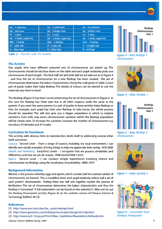

| AA - 1 antenna           | Aa - 2 antennae      | aa - no antenna        |
|--------------------------|----------------------|------------------------|
| QQ - red nose            | Qq - orange nose     | qq - yellow nose       |
| $EE - 2$ eyes            | $Ee - 2$ eyes        | $ee - 3$ eyes          |
| DD - 3 body segments     | Dd - 3 body segments | $dd - 2$ body segments |
| $MM - 1 hump$            | $Mm - 2$ humps       | $mm - 3 humps$         |
| $TT - \text{curly tail}$ | $Tt$ - curly tail    | $tt - straight tail$   |
| $IL - blue legs$         | $LI - blue$ legs     | II - red legs          |



### The Activity

Two pupils who have different coloured sets of chromosomes are paired up. The chromosomes should be laid face down on the table and each pupil randomly picks one chromosome of each length. The blue half set and pink half set are laid out as in Figure 4 - and thus the set of chromosomes for a new Reebop has been created. This set of chromosomes determines the baby's characteristics.Using the code given in Table 2, each pair of pupils makes their baby Reebop. The details of colours can be altered to suit the materials you have to hand.

This Reebop (Figure 5) has been constructed using the set of chromosomes in Figure 4. In this case the Reebop has three eyes but in all other respects, looks the same as the parents. If you want the same parents (i.e. pair of pupils) to have another baby Reebop so that, for example, each pupil has their own Reebop to take home, the whole process should be repeated. This will also give you <sup>a</sup> bigger population in which to explore variations. Even with only seven chromosomes variation within the Reebop population will be clearly seen. To increase the variation, increase the number of chromosomes e.g. introduce XX (female) and XY (male).

### Curriculum for Excellence

This activity, with obvious links to reproduction, lends itself to addressing several other draft outcomes:

Science: Second Level – From a range of sources, including my local environment, I can identify and classify examples of living things to help me appreciate their variety. SCN 205B Health and Wellbeing: Early/First Levels — <sup>I</sup> recognise that we possess similarities and differences and that we are all unique. HWB 022SS/HWB 123SS

Maths: Second Level — I can conduct simple experiments involving chance and communicate my findings using the vocabulary of probability. MNU 235Y

#### Background Information

Meiosis is the process whereby eggs and sperm, which contain half the normal number of chromosomes, are formed. This is modelled when each pupil randomly selects half <sup>a</sup> set of each parent's chromosomes. Putting these two half sets together models the process of fertilisation. This set of chromosomes determines the baby's characteristics and thus the Reebop is "conceived". A full explanation can be found on the website[1]. Why not try out the Reebop Powerpoint activity (Figure 8) on the website version of Primary Science & Technology Bulletin 46 [3].

#### References

- [1] http://www.wisc.edu/cbe/cbe\_pubs/reebops.html
- [2] http://www.geocities.com/holidayzone/recipes/dough.html #perfect
- [3] http://www.ise5-14.org.uk/Prim3/New\_Guidelines/Newsletters/46/body.htm

Reebop Chromosomes Baby 1 lululuilnil

Figure 4 - Baby Reebop 1 Chromosomes



Figure 5 - Baby Reebop 1



Figure 6 - Baby Reebop 2 Chromosomes



Figure 7 - Baby Reebop 2



Figure 8 — Screenshot from Reebops Powerpoint